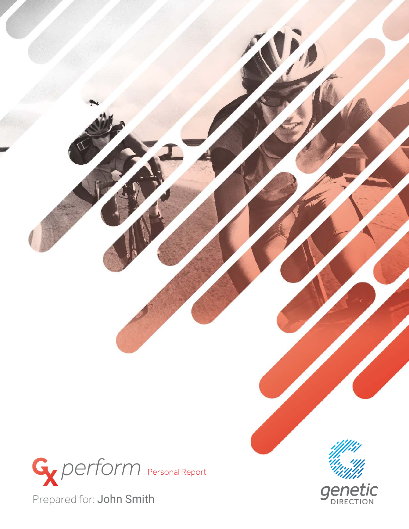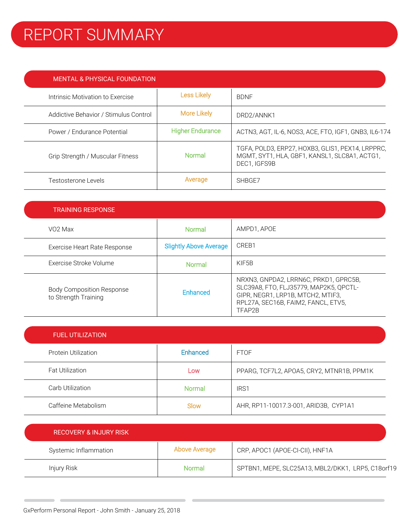## REPORT SUMMARY

| <b>MENTAL &amp; PHYSICAL FOUNDATION</b> |                         |                                                                                                                   |
|-----------------------------------------|-------------------------|-------------------------------------------------------------------------------------------------------------------|
| Intrinsic Motivation to Exercise        | <b>Less Likely</b>      | <b>BDNF</b>                                                                                                       |
| Addictive Behavior / Stimulus Control   | More Likely             | DRD2/ANNK1                                                                                                        |
| Power / Endurance Potential             | <b>Higher Endurance</b> | ACTN3, AGT, IL-6, NOS3, ACE, FTO, IGF1, GNB3, IL6-174                                                             |
| Grip Strength / Muscular Fitness        | <b>Normal</b>           | TGFA, POLD3, ERP27, HOXB3, GLIS1, PEX14, LRPPRC,<br>MGMT, SYT1, HLA, GBF1, KANSL1, SLC8A1, ACTG1,<br>DEC1. IGFS9B |
| Testosterone Levels                     | Average                 | SHBGE7                                                                                                            |

| <b>TRAINING RESPONSE</b>                                 |                               |                                                                                                                                                                       |
|----------------------------------------------------------|-------------------------------|-----------------------------------------------------------------------------------------------------------------------------------------------------------------------|
| VO <sub>2</sub> Max                                      | <b>Normal</b>                 | AMPD1, APOE                                                                                                                                                           |
| Exercise Heart Rate Response                             | <b>Slightly Above Average</b> | CREB1                                                                                                                                                                 |
| Exercise Stroke Volume                                   | <b>Normal</b>                 | KIF5B                                                                                                                                                                 |
| <b>Body Composition Response</b><br>to Strength Training | Enhanced                      | NRXN3, GNPDA2, LRRN6C, PRKD1, GPRC5B,<br>SLC39A8, FTO, FLJ35779, MAP2K5, QPCTL-<br>GIPR, NEGR1, LRP1B, MTCH2, MTIF3,<br>RPL27A, SEC16B, FAIM2, FANCL, ETV5,<br>TFAP2B |

| <b>FUEL UTILIZATION</b> |          |                                           |
|-------------------------|----------|-------------------------------------------|
| Protein Utilization     | Enhanced | <b>FTOF</b>                               |
| <b>Fat Utilization</b>  | Low      | PPARG, TCF7L2, APOA5, CRY2, MTNR1B, PPM1K |
| Carb Utilization        | Normal   | IRS1                                      |
| Caffeine Metabolism     | Slow     | AHR, RP11-10017.3-001, ARID3B, CYP1A1     |

| RECOVERY & INJURY RISK |               |                                                   |  |
|------------------------|---------------|---------------------------------------------------|--|
| Systemic Inflammation  | Above Average | CRP, APOC1 (APOE-CI-CII), HNF1A                   |  |
| Injury Risk            | Normal        | SPTBN1, MEPE, SLC25A13, MBL2/DKK1, LRP5, C18orf19 |  |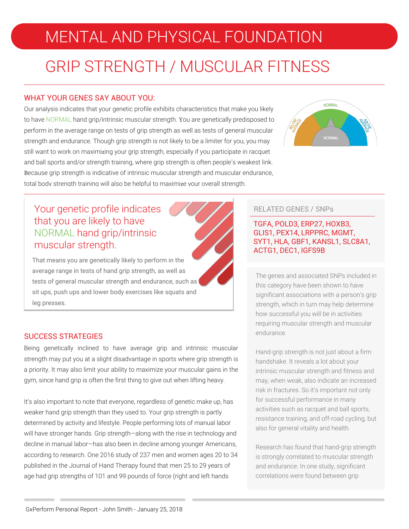## MENTAL AND PHYSICAL FOUNDATION

## GRIP STRENGTH / MUSCULAR FITNESS

### WHAT YOUR GENES SAY ABOUT YOU:

Our analysis indicates that your genetic profile exhibits characteristics that make you likely to have NORMAL hand grip/intrinsic muscular strength. You are genetically predisposed to perform in the average range on tests of grip strength as well as tests of general muscular strength and endurance. Though grip strength is not likely to be a limiter for you, you may still want to work on maximizing your grip strength, especially if you participate in racquet and ball sports and/or strength training, where grip strength is often people's weakest link. Because grip strength is indicative of intrinsic muscular strength and muscular endurance, total body strength training will also be helpful to maximize your overall strength.



### Your genetic profile indicates that you are likely to have NORMAL hand grip/intrinsic muscular strength.

That means you are genetically likely to perform in the average range in tests of hand grip strength, as well as tests of general muscular strength and endurance, such as sit ups, push ups and lower body exercises like squats and leg presses.

### SUCCESS STRATEGIES

Being genetically inclined to have average grip and intrinsic muscular strength may put you at a slight disadvantage in sports where grip strength is a priority. It may also limit your ability to maximize your muscular gains in the gym, since hand grip is often the first thing to give out when lifting heavy.

It's also important to note that everyone, regardless of genetic make up, has weaker hand grip strength than they used to. Your grip strength is partly determined by activity and lifestyle. People performing lots of manual labor will have stronger hands. Grip strength—along with the rise in technology and decline in manual labor—has also been in decline among younger Americans, according to research. One 2016 study of 237 men and women ages 20 to 34 published in the Journal of Hand Therapy found that men 25 to 29 years of age had grip strengths of 101 and 99 pounds of force (right and left hands

### RELATED GENES / SNPs

#### TGFA, POLD3, ERP27, HOXB3, GLIS1, PEX14, LRPPRC, MGMT, SYT1, HLA, GBF1, KANSL1, SLC8A1, ACTG1, DEC1, IGFS9B

The genes and associated SNPs included in this category have been shown to have significant associations with a person's grip strength, which in turn may help determine how successful you will be in activities requiring muscular strength and muscular endurance.

Hand-grip strength is not just about a firm handshake. It reveals a lot about your intrinsic muscular strength and fitness and may, when weak, also indicate an increased risk in fractures. So it's important not only for successful performance in many activities such as racquet and ball sports, resistance training, and off-road cycling, but also for general vitality and health.

Research has found that hand-grip strength is strongly correlated to muscular strength and endurance. In one study, significant correlations were found between grip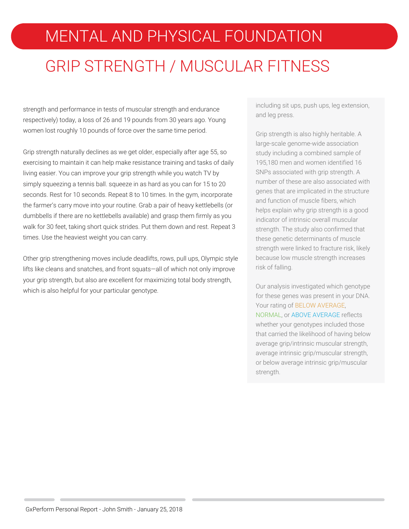# MENTAL AND PHYSICAL FOUNDATION GRIP STRENGTH / MUSCULAR FITNESS

strength and performance in tests of muscular strength and endurance respectively) today, a loss of 26 and 19 pounds from 30 years ago. Young women lost roughly 10 pounds of force over the same time period.

Grip strength naturally declines as we get older, especially after age 55, so exercising to maintain it can help make resistance training and tasks of daily living easier. You can improve your grip strength while you watch TV by simply squeezing a tennis ball. squeeze in as hard as you can for 15 to 20 seconds. Rest for 10 seconds. Repeat 8 to 10 times. In the gym, incorporate the farmer's carry move into your routine. Grab a pair of heavy kettlebells (or dumbbells if there are no kettlebells available) and grasp them firmly as you walk for 30 feet, taking short quick strides. Put them down and rest. Repeat 3 times. Use the heaviest weight you can carry.

Other grip strengthening moves include deadlifts, rows, pull ups, Olympic style lifts like cleans and snatches, and front squats—all of which not only improve your grip strength, but also are excellent for maximizing total body strength, which is also helpful for your particular genotype.

including sit ups, push ups, leg extension, and leg press.

Grip strength is also highly heritable. A large-scale genome-wide association study including a combined sample of 195,180 men and women identified 16 SNPs associated with grip strength. A number of these are also associated with genes that are implicated in the structure and function of muscle fibers, which helps explain why grip strength is a good indicator of intrinsic overall muscular strength. The study also confirmed that these genetic determinants of muscle strength were linked to fracture risk, likely because low muscle strength increases risk of falling.

Our analysis investigated which genotype for these genes was present in your DNA. Your rating of BELOW AVERAGE, NORMAL, or ABOVE AVERAGE reflects whether your genotypes included those that carried the likelihood of having below average grip/intrinsic muscular strength, average intrinsic grip/muscular strength, or below average intrinsic grip/muscular strength.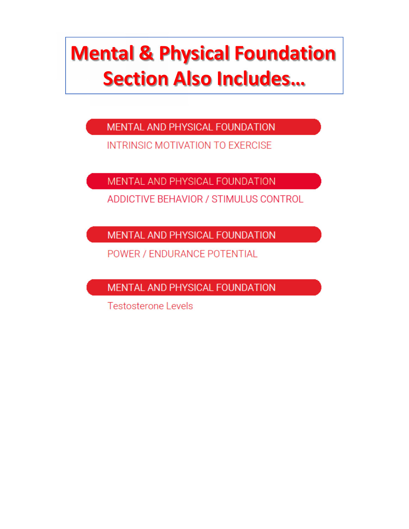# **Mental & Physical Foundation Section Also Includes...**

MENTAL AND PHYSICAL FOUNDATION

INTRINSIC MOTIVATION TO EXERCISE

MENTAL AND PHYSICAL FOUNDATION

ADDICTIVE BEHAVIOR / STIMULUS CONTROL

MENTAL AND PHYSICAL FOUNDATION

POWER / ENDURANCE POTENTIAL

MENTAL AND PHYSICAL FOUNDATION

**Testosterone Levels**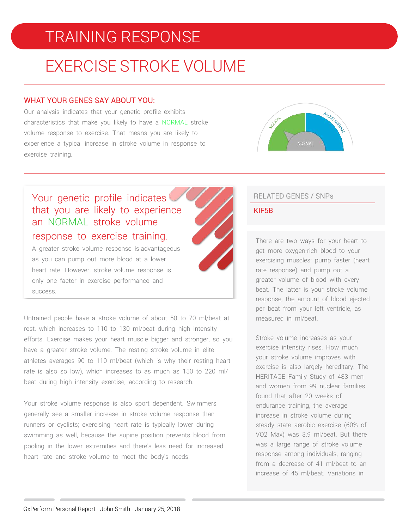## TRAINING RESPONSE

## EXERCISE STROKE VOLUME

#### WHAT YOUR GENES SAY ABOUT YOU:

Our analysis indicates that your genetic profile exhibits characteristics that make you likely to have a NORMAL stroke volume response to exercise. That means you are likely to experience a typical increase in stroke volume in response to exercise training.



### Your genetic profile indicates that you are likely to experience an NORMAL stroke volume response to exercise training.

A greater stroke volume response is advantageous as you can pump out more blood at a lower heart rate. However, stroke volume response is only one factor in exercise performance and success.

Untrained people have a stroke volume of about 50 to 70 ml/beat at rest, which increases to 110 to 130 ml/beat during high intensity efforts. Exercise makes your heart muscle bigger and stronger, so you have a greater stroke volume. The resting stroke volume in elite athletes averages 90 to 110 ml/beat (which is why their resting heart rate is also so low), which increases to as much as 150 to 220 ml/ beat during high intensity exercise, according to research.

Your stroke volume response is also sport dependent. Swimmers generally see a smaller increase in stroke volume response than runners or cyclists; exercising heart rate is typically lower during swimming as well, because the supine position prevents blood from pooling in the lower extremities and there's less need for increased heart rate and stroke volume to meet the body's needs.

### RELATED GENES / SNPs

#### KIF5B

There are two ways for your heart to get more oxygen-rich blood to your exercising muscles: pump faster (heart rate response) and pump out a greater volume of blood with every beat. The latter is your stroke volume response, the amount of blood ejected per beat from your left ventricle, as measured in ml/beat.

Stroke volume increases as your exercise intensity rises. How much your stroke volume improves with exercise is also largely hereditary. The HERITAGE Family Study of 483 men and women from 99 nuclear families found that after 20 weeks of endurance training, the average increase in stroke volume during steady state aerobic exercise (60% of VO2 Max) was 3.9 ml/beat. But there was a large range of stroke volume response among individuals, ranging from a decrease of 41 ml/beat to an increase of 45 ml/beat. Variations in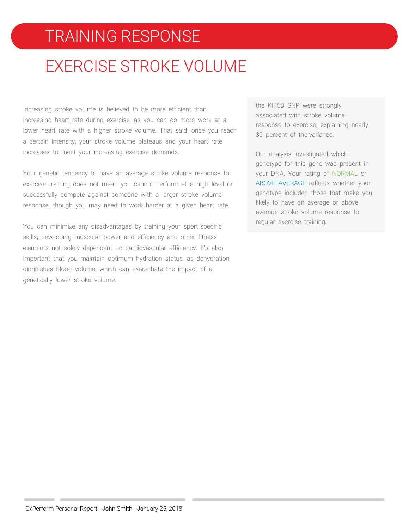### TRAINING RESPONSE

## EXERCISE STROKE VOLUME

Increasing stroke volume is believed to be more efficient than increasing heart rate during exercise, as you can do more work at a lower heart rate with a higher stroke volume. That said, once you reach a certain intensity, your stroke volume plateaus and your heart rate increases to meet your increasing exercise demands.

Your genetic tendency to have an average stroke volume response to exercise training does not mean you cannot perform at a high level or successfully compete against someone with a larger stroke volume response, though you may need to work harder at a given heart rate.

You can minimize any disadvantages by training your sport-specific skills; developing muscular power and efficiency and other fitness elements not solely dependent on cardiovascular efficiency. It's also important that you maintain optimum hydration status, as dehydration diminishes blood volume, which can exacerbate the impact of a genetically lower stroke volume.

the KIF5B SNP were strongly associated with stroke volume response to exercise, explaining nearly 30 percent of the variance.

Our analysis investigated which genotype for this gene was present in your DNA. Your rating of NORMAL or ABOVE AVERAGE reflects whether your genotype included those that make you likely to have an average or above average stroke volume response to regular exercise training.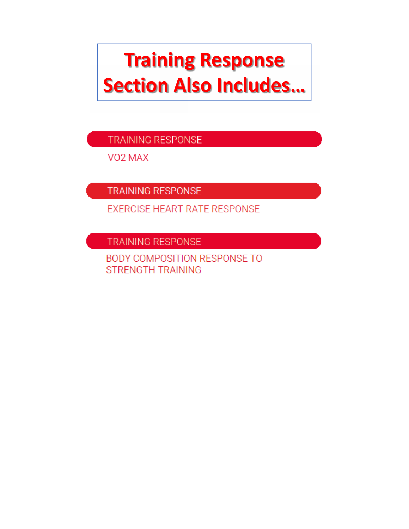# **Training Response Section Also Includes...**

TRAINING RESPONSE

VO<sub>2</sub> MAX

**TRAINING RESPONSE** 

**EXERCISE HEART RATE RESPONSE** 

**TRAINING RESPONSE** 

**BODY COMPOSITION RESPONSE TO STRENGTH TRAINING**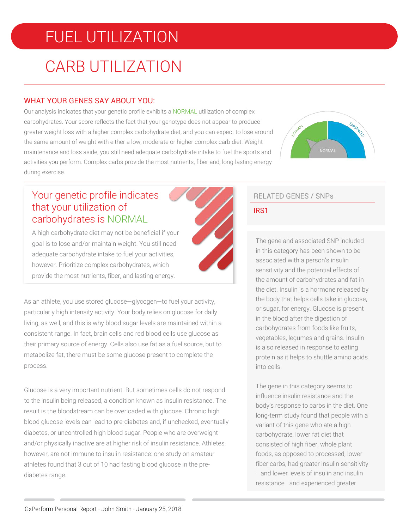## FUEL UTILIZATION

## CARB UTILIZATION

### WHAT YOUR GENES SAY ABOUT YOU:

Our analysis indicates that your genetic profile exhibits a NORMAL utilization of complex carbohydrates. Your score reflects the fact that your genotype does not appear to produce greater weight loss with a higher complex carbohydrate diet, and you can expect to lose around the same amount of weight with either a low, moderate or higher complex carb diet. Weight maintenance and loss aside, you still need adequate carbohydrate intake to fuel the sports and activities you perform. Complex carbs provide the most nutrients, fiber and, long-lasting energy during exercise.



### Your genetic profile indicates that your utilization of carbohydrates is NORMAL

A high carbohydrate diet may not be beneficial if your goal is to lose and/or maintain weight. You still need adequate carbohydrate intake to fuel your activities, however. Prioritize complex carbohydrates, which provide the most nutrients, fiber, and lasting energy.



As an athlete, you use stored glucose—glycogen—to fuel your activity, particularly high intensity activity. Your body relies on glucose for daily living, as well, and this is why blood sugar levels are maintained within a consistent range. In fact, brain cells and red blood cells use glucose as their primary source of energy. Cells also use fat as a fuel source, but to metabolize fat, there must be some glucose present to complete the process.

Glucose is a very important nutrient. But sometimes cells do not respond to the insulin being released, a condition known as insulin resistance. The result is the bloodstream can be overloaded with glucose. Chronic high blood glucose levels can lead to pre-diabetes and, if unchecked, eventually diabetes, or uncontrolled high blood sugar. People who are overweight and/or physically inactive are at higher risk of insulin resistance. Athletes, however, are not immune to insulin resistance: one study on amateur athletes found that 3 out of 10 had fasting blood glucose in the prediabetes range.

### RELATED GENES / SNPs

### IRS1

The gene and associated SNP included in this category has been shown to be associated with a person's insulin sensitivity and the potential effects of the amount of carbohydrates and fat in the diet. Insulin is a hormone released by the body that helps cells take in glucose, or sugar, for energy. Glucose is present in the blood after the digestion of carbohydrates from foods like fruits, vegetables, legumes and grains. Insulin is also released in response to eating protein as it helps to shuttle amino acids into cells.

The gene in this category seems to influence insulin resistance and the body's response to carbs in the diet. One long-term study found that people with a variant of this gene who ate a high carbohydrate, lower fat diet that consisted of high fiber, whole plant foods, as opposed to processed, lower fiber carbs, had greater insulin sensitivity —and lower levels of insulin and insulin resistance—and experienced greater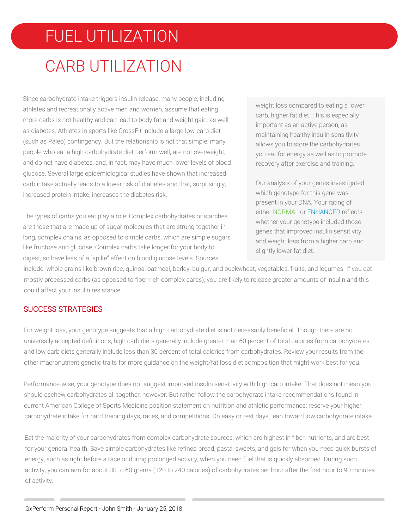## FUEL UTILIZATION CARB UTILIZATION

Since carbohydrate intake triggers insulin release, many people, including athletes and recreationally active men and women, assume that eating more carbs is not healthy and can lead to body fat and weight gain, as well as diabetes. Athletes in sports like CrossFit include a large low-carb diet (such as Paleo) contingency. But the relationship is not that simple: many people who eat a high carbohydrate diet perform well, are not overweight, and do not have diabetes, and, in fact, may have much lower levels of blood glucose. Several large epidemiological studies have shown that increased carb intake actually leads to a lower risk of diabetes and that, surprisingly, increased protein intake, increases the diabetes risk.

The types of carbs you eat play a role: Complex carbohydrates or starches are those that are made up of sugar molecules that are strung together in long, complex chains, as opposed to simple carbs, which are simple sugars like fructose and glucose. Complex carbs take longer for your body to digest, so have less of a "spike" effect on blood glucose levels. Sources

weight loss compared to eating a lower carb, higher fat diet. This is especially important as an active person, as maintaining healthy insulin sensitivity allows you to store the carbohydrates you eat for energy as well as to promote recovery after exercise and training.

Our analysis of your genes investigated which genotype for this gene was present in your DNA. Your rating of either NORMAL or ENHANCED reflects whether your genotype included those genes that improved insulin sensitivity and weight loss from a higher carb and slightly lower fat diet.

include: whole grains like brown rice, quinoa, oatmeal, barley, bulgur, and buckwheat, vegetables, fruits, and legumes. If you eat mostly processed carbs (as opposed to fiber-rich complex carbs), you are likely to release greater amounts of insulin and this could affect your insulin resistance.

### SUCCESS STRATEGIES

For weight loss, your genotype suggests that a high carbohydrate diet is not necessarily beneficial. Though there are no universally accepted definitions, high carb diets generally include greater than 60 percent of total calories from carbohydrates, and low carb diets generally include less than 30 percent of total calories from carbohydrates. Review your results from the other macronutrient genetic traits for more guidance on the weight/fat loss diet composition that might work best for you.

Performance-wise, your genotype does not suggest improved insulin sensitivity with high-carb intake. That does not mean you should eschew carbohydrates all together, however. But rather follow the carbohydrate intake recommendations found in current American College of Sports Medicine position statement on nutrition and athletic performance: reserve your higher carbohydrate intake for hard training days, races, and competitions. On easy or rest days, lean toward low carbohydrate intake.

Eat the majority of your carbohydrates from complex carbohydrate sources, which are highest in fiber, nutrients, and are best for your general health. Save simple carbohydrates like refined bread, pasta, sweets, and gels for when you need quick bursts of energy, such as right before a race or during prolonged activity, when you need fuel that is quickly absorbed. During such activity, you can aim for about 30 to 60 grams (120 to 240 calories) of carbohydrates per hour after the first hour to 90 minutes of activity.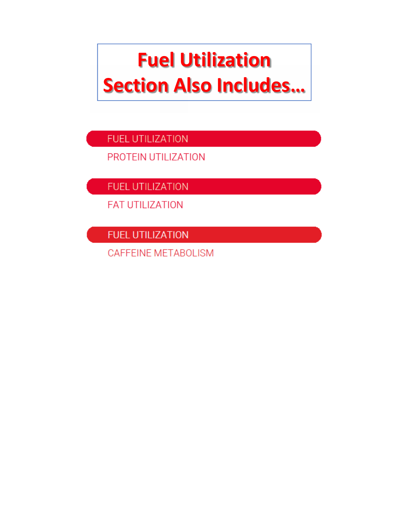# **Fuel Utilization Section Also Includes...**

FUEL UTILIZATION

PROTEIN UTILIZATION

**FUEL UTILIZATION** 

**FAT UTILIZATION** 

**FUEL UTILIZATION** 

CAFFEINE METABOLISM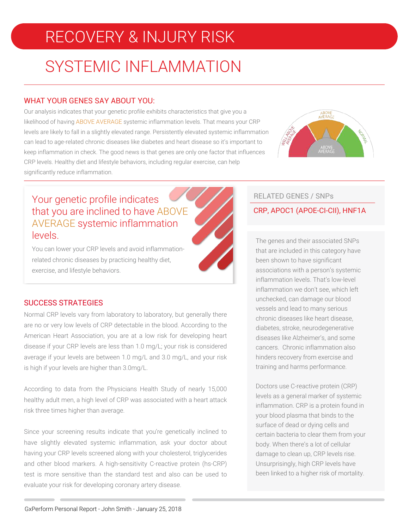## RECOVERY & INJURY RISK

## SYSTEMIC INFLAMMATION

### WHAT YOUR GENES SAY ABOUT YOU:

Our analysis indicates that your genetic profile exhibits characteristics that give you a likelihood of having ABOVE AVERAGE systemic inflammation levels. That means your CRP levels are likely to fall in a slightly elevated range. Persistently elevated systemic inflammation can lead to age-related chronic diseases like diabetes and heart disease so it's important to keep inflammation in check. The good news is that genes are only one factor that influences CRP levels. Healthy diet and lifestyle behaviors, including regular exercise, can help significantly reduce inflammation.



### Your genetic profile indicates that you are inclined to have ABOVE AVERAGE systemic inflammation levels.

You can lower your CRP levels and avoid inflammationrelated chronic diseases by practicing healthy diet, exercise, and lifestyle behaviors.



### SUCCESS STRATEGIES

Normal CRP levels vary from laboratory to laboratory, but generally there are no or very low levels of CRP detectable in the blood. According to the American Heart Association, you are at a low risk for developing heart disease if your CRP levels are less than 1.0 mg/L; your risk is considered average if your levels are between 1.0 mg/L and 3.0 mg/L, and your risk is high if your levels are higher than 3.0mg/L.

According to data from the Physicians Health Study of nearly 15,000 healthy adult men, a high level of CRP was associated with a heart attack risk three times higher than average.

Since your screening results indicate that you're genetically inclined to have slightly elevated systemic inflammation, ask your doctor about having your CRP levels screened along with your cholesterol, triglycerides and other blood markers. A high-sensitivity C-reactive protein (hs-CRP) test is more sensitive than the standard test and also can be used to evaluate your risk for developing coronary artery disease.

### RELATED GENES / SNPs

### CRP, APOC1 (APOE-CI-CII), HNF1A

The genes and their associated SNPs that are included in this category have been shown to have significant associations with a person's systemic inflammation levels. That's low-level inflammation we don't see, which left unchecked, can damage our blood vessels and lead to many serious chronic diseases like heart disease, diabetes, stroke, neurodegenerative diseases like Alzheimer's, and some cancers. Chronic inflammation also hinders recovery from exercise and training and harms performance.

Doctors use C-reactive protein (CRP) levels as a general marker of systemic inflammation. CRP is a protein found in your blood plasma that binds to the surface of dead or dying cells and certain bacteria to clear them from your body. When there's a lot of cellular damage to clean up, CRP levels rise. Unsurprisingly, high CRP levels have been linked to a higher risk of mortality.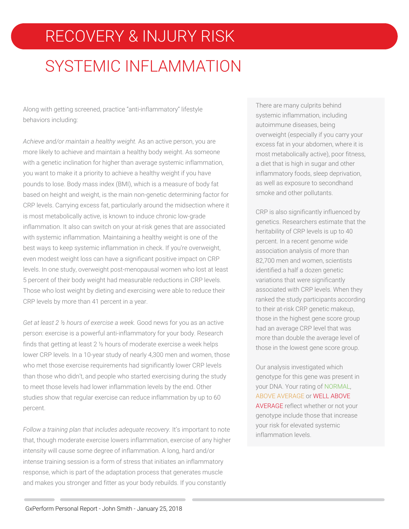## RECOVERY & INJURY RISK

## SYSTEMIC INFLAMMATION

Along with getting screened, practice "anti-inflammatory" lifestyle behaviors including:

*Achieve and/or maintain a healthy weight.* As an active person, you are more likely to achieve and maintain a healthy body weight. As someone with a genetic inclination for higher than average systemic inflammation, you want to make it a priority to achieve a healthy weight if you have pounds to lose. Body mass index (BMI), which is a measure of body fat based on height and weight, is the main non-genetic determining factor for CRP levels. Carrying excess fat, particularly around the midsection where it is most metabolically active, is known to induce chronic low-grade inflammation. It also can switch on your at-risk genes that are associated with systemic inflammation. Maintaining a healthy weight is one of the best ways to keep systemic inflammation in check. If you're overweight, even modest weight loss can have a significant positive impact on CRP levels. In one study, overweight post-menopausal women who lost at least 5 percent of their body weight had measurable reductions in CRP levels. Those who lost weight by dieting and exercising were able to reduce their CRP levels by more than 41 percent in a year.

*Get at least 2 ½ hours of exercise a week.* Good news for you as an active person: exercise is a powerful anti-inflammatory for your body. Research finds that getting at least 2 ½ hours of moderate exercise a week helps lower CRP levels. In a 10-year study of nearly 4,300 men and women, those who met those exercise requirements had significantly lower CRP levels than those who didn't, and people who started exercising during the study to meet those levels had lower inflammation levels by the end. Other studies show that regular exercise can reduce inflammation by up to 60 percent.

*Follow a training plan that includes adequate recovery.* It's important to note that, though moderate exercise lowers inflammation, exercise of any higher intensity will cause some degree of inflammation. A long, hard and/or intense training session is a form of stress that initiates an inflammatory response, which is part of the adaptation process that generates muscle and makes you stronger and fitter as your body rebuilds. If you constantly

There are many culprits behind systemic inflammation, including autoimmune diseases, being overweight (especially if you carry your excess fat in your abdomen, where it is most metabolically active), poor fitness, a diet that is high in sugar and other inflammatory foods, sleep deprivation, as well as exposure to secondhand smoke and other pollutants.

CRP is also significantly influenced by genetics. Researchers estimate that the heritability of CRP levels is up to 40 percent. In a recent genome wide association analysis of more than 82,700 men and women, scientists identified a half a dozen genetic variations that were significantly associated with CRP levels. When they ranked the study participants according to their at-risk CRP genetic makeup, those in the highest gene score group had an average CRP level that was more than double the average level of those in the lowest gene score group.

Our analysis investigated which genotype for this gene was present in your DNA. Your rating of NORMAL, ABOVE AVERAGE or WELL ABOVE AVERAGE reflect whether or not your genotype include those that increase your risk for elevated systemic inflammation levels.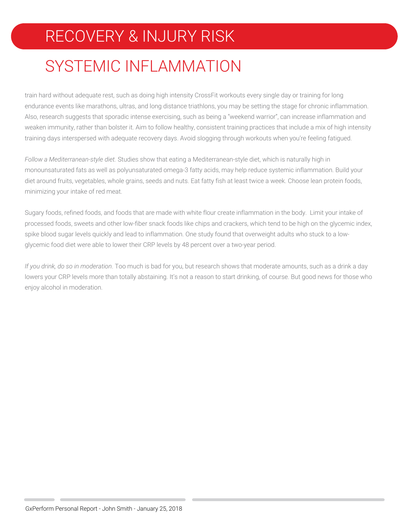## RECOVERY & INJURY RISK

## SYSTEMIC INFLAMMATION

train hard without adequate rest, such as doing high intensity CrossFit workouts every single day or training for long endurance events like marathons, ultras, and long distance triathlons, you may be setting the stage for chronic inflammation. Also, research suggests that sporadic intense exercising, such as being a "weekend warrior", can increase inflammation and weaken immunity, rather than bolster it. Aim to follow healthy, consistent training practices that include a mix of high intensity training days interspersed with adequate recovery days. Avoid slogging through workouts when you're feeling fatigued.

*Follow a Mediterranean-style diet.* Studies show that eating a Mediterranean-style diet, which is naturally high in monounsaturated fats as well as polyunsaturated omega-3 fatty acids, may help reduce systemic inflammation. Build your diet around fruits, vegetables, whole grains, seeds and nuts. Eat fatty fish at least twice a week. Choose lean protein foods, minimizing your intake of red meat.

Sugary foods, refined foods, and foods that are made with white flour create inflammation in the body. Limit your intake of processed foods, sweets and other low-fiber snack foods like chips and crackers, which tend to be high on the glycemic index, spike blood sugar levels quickly and lead to inflammation. One study found that overweight adults who stuck to a lowglycemic food diet were able to lower their CRP levels by 48 percent over a two-year period.

*If you drink, do so in moderation*. Too much is bad for you, but research shows that moderate amounts, such as a drink a day lowers your CRP levels more than totally abstaining. It's not a reason to start drinking, of course. But good news for those who enjoy alcohol in moderation.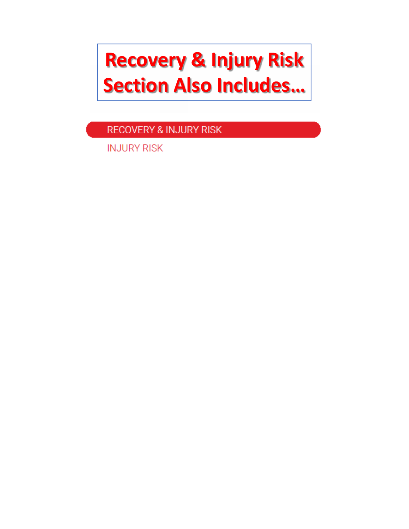# **Recovery & Injury Risk Section Also Includes…**

**RECOVERY & INJURY RISK** 

**INJURY RISK**